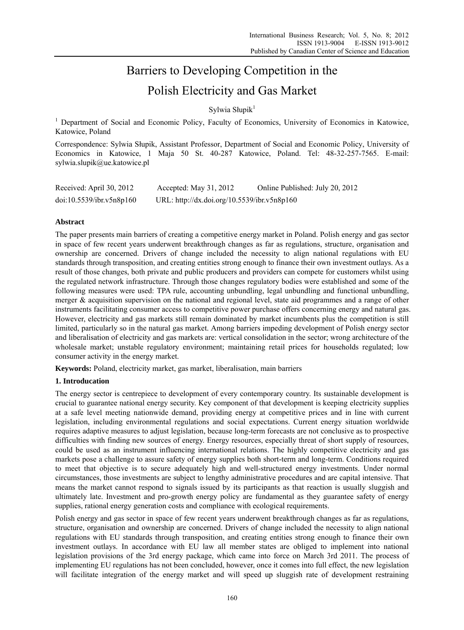# Barriers to Developing Competition in the Polish Electricity and Gas Market

Sylwia Słupik<sup>1</sup>

<sup>1</sup> Department of Social and Economic Policy, Faculty of Economics, University of Economics in Katowice, Katowice, Poland

Correspondence: Sylwia Słupik, Assistant Professor, Department of Social and Economic Policy, University of Economics in Katowice, 1 Maja 50 St. 40-287 Katowice, Poland. Tel: 48-32-257-7565. E-mail: sylwia.slupik@ue.katowice.pl

| Received: April 30, 2012 | Accepted: May $31, 2012$                    | Online Published: July 20, 2012 |
|--------------------------|---------------------------------------------|---------------------------------|
| doi:10.5539/ibr.v5n8p160 | URL: http://dx.doi.org/10.5539/ibr.v5n8p160 |                                 |

## **Abstract**

The paper presents main barriers of creating a competitive energy market in Poland. Polish energy and gas sector in space of few recent years underwent breakthrough changes as far as regulations, structure, organisation and ownership are concerned. Drivers of change included the necessity to align national regulations with EU standards through transposition, and creating entities strong enough to finance their own investment outlays. As a result of those changes, both private and public producers and providers can compete for customers whilst using the regulated network infrastructure. Through those changes regulatory bodies were established and some of the following measures were used: TPA rule, accounting unbundling, legal unbundling and functional unbundling, merger & acquisition supervision on the national and regional level, state aid programmes and a range of other instruments facilitating consumer access to competitive power purchase offers concerning energy and natural gas. However, electricity and gas markets still remain dominated by market incumbents plus the competition is still limited, particularly so in the natural gas market. Among barriers impeding development of Polish energy sector and liberalisation of electricity and gas markets are: vertical consolidation in the sector; wrong architecture of the wholesale market; unstable regulatory environment; maintaining retail prices for households regulated; low consumer activity in the energy market.

**Keywords:** Poland, electricity market, gas market, liberalisation, main barriers

#### **1. Introducation**

The energy sector is centrepiece to development of every contemporary country. Its sustainable development is crucial to guarantee national energy security. Key component of that development is keeping electricity supplies at a safe level meeting nationwide demand, providing energy at competitive prices and in line with current legislation, including environmental regulations and social expectations. Current energy situation worldwide requires adaptive measures to adjust legislation, because long-term forecasts are not conclusive as to prospective difficulties with finding new sources of energy. Energy resources, especially threat of short supply of resources, could be used as an instrument influencing international relations. The highly competitive electricity and gas markets pose a challenge to assure safety of energy supplies both short-term and long-term. Conditions required to meet that objective is to secure adequately high and well-structured energy investments. Under normal circumstances, those investments are subject to lengthy administrative procedures and are capital intensive. That means the market cannot respond to signals issued by its participants as that reaction is usually sluggish and ultimately late. Investment and pro-growth energy policy are fundamental as they guarantee safety of energy supplies, rational energy generation costs and compliance with ecological requirements.

Polish energy and gas sector in space of few recent years underwent breakthrough changes as far as regulations, structure, organisation and ownership are concerned. Drivers of change included the necessity to align national regulations with EU standards through transposition, and creating entities strong enough to finance their own investment outlays. In accordance with EU law all member states are obliged to implement into national legislation provisions of the 3rd energy package, which came into force on March 3rd 2011. The process of implementing EU regulations has not been concluded, however, once it comes into full effect, the new legislation will facilitate integration of the energy market and will speed up sluggish rate of development restraining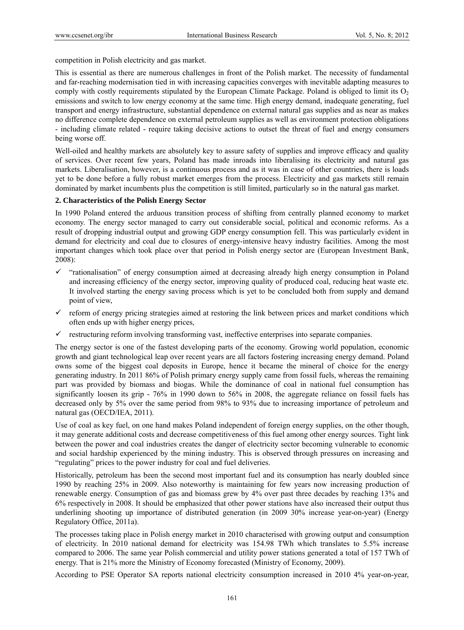competition in Polish electricity and gas market.

This is essential as there are numerous challenges in front of the Polish market. The necessity of fundamental and far-reaching modernisation tied in with increasing capacities converges with inevitable adapting measures to comply with costly requirements stipulated by the European Climate Package. Poland is obliged to limit its  $O<sub>2</sub>$ emissions and switch to low energy economy at the same time. High energy demand, inadequate generating, fuel transport and energy infrastructure, substantial dependence on external natural gas supplies and as near as makes no difference complete dependence on external petroleum supplies as well as environment protection obligations - including climate related - require taking decisive actions to outset the threat of fuel and energy consumers being worse off.

Well-oiled and healthy markets are absolutely key to assure safety of supplies and improve efficacy and quality of services. Over recent few years, Poland has made inroads into liberalising its electricity and natural gas markets. Liberalisation, however, is a continuous process and as it was in case of other countries, there is loads yet to be done before a fully robust market emerges from the process. Electricity and gas markets still remain dominated by market incumbents plus the competition is still limited, particularly so in the natural gas market.

#### **2. Characteristics of the Polish Energy Sector**

In 1990 Poland entered the arduous transition process of shifting from centrally planned economy to market economy. The energy sector managed to carry out considerable social, political and economic reforms. As a result of dropping industrial output and growing GDP energy consumption fell. This was particularly evident in demand for electricity and coal due to closures of energy-intensive heavy industry facilities. Among the most important changes which took place over that period in Polish energy sector are (European Investment Bank, 2008):

- $\checkmark$  "rationalisation" of energy consumption aimed at decreasing already high energy consumption in Poland and increasing efficiency of the energy sector, improving quality of produced coal, reducing heat waste etc. It involved starting the energy saving process which is yet to be concluded both from supply and demand point of view,
- $\checkmark$  reform of energy pricing strategies aimed at restoring the link between prices and market conditions which often ends up with higher energy prices,
- $\checkmark$  restructuring reform involving transforming vast, ineffective enterprises into separate companies.

The energy sector is one of the fastest developing parts of the economy. Growing world population, economic growth and giant technological leap over recent years are all factors fostering increasing energy demand. Poland owns some of the biggest coal deposits in Europe, hence it became the mineral of choice for the energy generating industry. In 2011 86% of Polish primary energy supply came from fossil fuels, whereas the remaining part was provided by biomass and biogas. While the dominance of coal in national fuel consumption has significantly loosen its grip - 76% in 1990 down to 56% in 2008, the aggregate reliance on fossil fuels has decreased only by 5% over the same period from 98% to 93% due to increasing importance of petroleum and natural gas (OECD/IEA, 2011).

Use of coal as key fuel, on one hand makes Poland independent of foreign energy supplies, on the other though, it may generate additional costs and decrease competitiveness of this fuel among other energy sources. Tight link between the power and coal industries creates the danger of electricity sector becoming vulnerable to economic and social hardship experienced by the mining industry. This is observed through pressures on increasing and "regulating" prices to the power industry for coal and fuel deliveries.

Historically, petroleum has been the second most important fuel and its consumption has nearly doubled since 1990 by reaching 25% in 2009. Also noteworthy is maintaining for few years now increasing production of renewable energy. Consumption of gas and biomass grew by 4% over past three decades by reaching 13% and 6% respectively in 2008. It should be emphasized that other power stations have also increased their output thus underlining shooting up importance of distributed generation (in 2009 30% increase year-on-year) (Energy Regulatory Office, 2011a).

The processes taking place in Polish energy market in 2010 characterised with growing output and consumption of electricity. In 2010 national demand for electricity was 154.98 TWh which translates to 5.5% increase compared to 2006. The same year Polish commercial and utility power stations generated a total of 157 TWh of energy. That is 21% more the Ministry of Economy forecasted (Ministry of Economy, 2009).

According to PSE Operator SA reports national electricity consumption increased in 2010 4% year-on-year,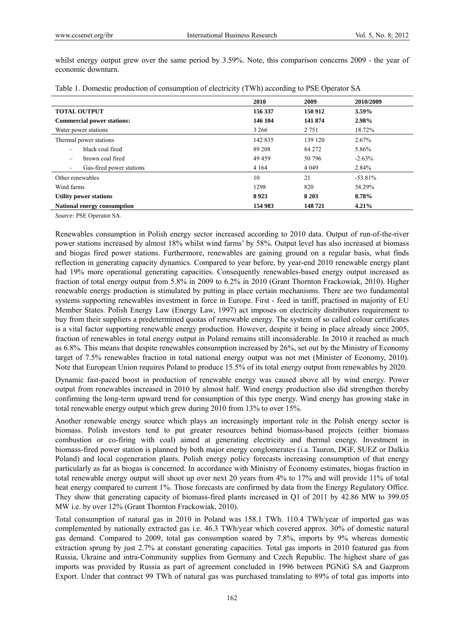whilst energy output grew over the same period by 3.59%. Note, this comparison concerns 2009 - the year of economic downturn.

|                                     | 2010    | 2009    | 2010/2009  |
|-------------------------------------|---------|---------|------------|
| <b>TOTAL OUTPUT</b>                 | 156 337 | 150 912 | 3.59%      |
| <b>Commercial power stations:</b>   | 146 104 | 141 874 | 2.98%      |
| Water power stations                | 3 2 6 6 | 2 7 5 1 | 18.72%     |
| Thermal power stations              | 142 835 | 139 120 | 2.67%      |
| black coal fired<br>$\qquad \qquad$ | 89 208  | 84 272  | 5.86%      |
| brown coal fired<br>$\qquad \qquad$ | 49 459  | 50 796  | $-2.63%$   |
| Gas-fired power stations            | 4 1 6 4 | 4 0 4 9 | 2.84%      |
| Other renewables                    | 10      | 21      | $-53.81\%$ |
| Wind farms                          | 1298    | 820     | 58.29%     |
| <b>Utility power stations</b>       | 8923    | 8 2 0 3 | 8.78%      |
| <b>National energy consumption</b>  | 154 983 | 148721  | 4.21%      |

*Source:* PSE Operator SA.

Renewables consumption in Polish energy sector increased according to 2010 data. Output of run-of-the-river power stations increased by almost 18% whilst wind farms' by 58%. Output level has also increased at biomass and biogas fired power stations. Furthermore, renewables are gaining ground on a regular basis, what finds reflection in generating capacity dynamics. Compared to year before, by year-end 2010 renewable energy plant had 19% more operational generating capacities. Consequently renewables-based energy output increased as fraction of total energy output from 5.8% in 2009 to 6.2% in 2010 (Grant Thornton Frackowiak, 2010). Higher renewable energy production is stimulated by putting in place certain mechanisms. There are two fundamental systems supporting renewables investment in force in Europe. First - feed in tariff, practised in majority of EU Member States. Polish Energy Law (Energy Law, 1997) act imposes on electricity distributors requirement to buy from their suppliers a predetermined quotas of renewable energy. The system of so called colour certificates is a vital factor supporting renewable energy production. However, despite it being in place already since 2005, fraction of renewables in total energy output in Poland remains still inconsiderable. In 2010 it reached as much as 6.8%. This means that despite renewables consumption increased by 26%, set out by the Ministry of Economy target of 7.5% renewables fraction in total national energy output was not met (Minister of Economy, 2010). Note that European Union requires Poland to produce 15.5% of its total energy output from renewables by 2020.

Dynamic fast-paced boost in production of renewable energy was caused above all by wind energy. Power output from renewables increased in 2010 by almost half. Wind energy production also did strengthen thereby confirming the long-term upward trend for consumption of this type energy. Wind energy has growing stake in total renewable energy output which grew during 2010 from 13% to over 15%.

Another renewable energy source which plays an increasingly important role in the Polish energy sector is biomass. Polish investors tend to put greater resources behind biomass-based projects (either biomass combustion or co-firing with coal) aimed at generating electricity and thermal energy. Investment in biomass-fired power station is planned by both major energy conglomerates (i.a. Tauron, DGF, SUEZ or Dalkia Poland) and local cogeneration plants. Polish energy policy forecasts increasing consumption of that energy particularly as far as biogas is concerned. In accordance with Ministry of Economy estimates, biogas fraction in total renewable energy output will shoot up over next 20 years from 4% to 17% and will provide 11% of total heat energy compared to current 1%. Those forecasts are confirmed by data from the Energy Regulatory Office. They show that generating capacity of biomass-fired plants increased in Q1 of 2011 by 42.86 MW to 399.05 MW i.e. by over 12% (Grant Thornton Frackowiak, 2010).

Total consumption of natural gas in 2010 in Poland was 158.1 TWh. 110.4 TWh/year of imported gas was complemented by nationally extracted gas i.e. 46.3 TWh/year which covered approx. 30% of domestic natural gas demand. Compared to 2009, total gas consumption soared by 7.8%, imports by 9% whereas domestic extraction sprung by just 2.7% at constant generating capacities. Total gas imports in 2010 featured gas from Russia, Ukraine and intra-Community supplies from Germany and Czech Republic. The highest share of gas imports was provided by Russia as part of agreement concluded in 1996 between PGNiG SA and Gazprom Export. Under that contract 99 TWh of natural gas was purchased translating to 89% of total gas imports into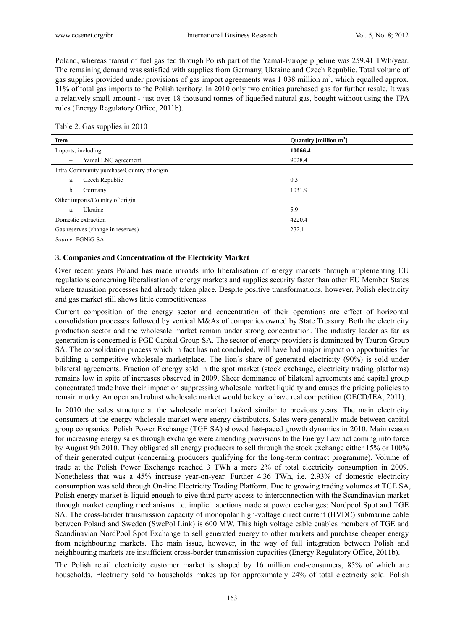Poland, whereas transit of fuel gas fed through Polish part of the Yamal-Europe pipeline was 259.41 TWh/year. The remaining demand was satisfied with supplies from Germany, Ukraine and Czech Republic. Total volume of gas supplies provided under provisions of gas import agreements was  $1\,038$  million m<sup>3</sup>, which equalled approx. 11% of total gas imports to the Polish territory. In 2010 only two entities purchased gas for further resale. It was a relatively small amount - just over 18 thousand tonnes of liquefied natural gas, bought without using the TPA rules (Energy Regulatory Office, 2011b).

| Table 2. Gas supplies in 2010 |  |
|-------------------------------|--|
|-------------------------------|--|

| Item                                       | Quantity [million $m^3$ ] |  |
|--------------------------------------------|---------------------------|--|
| Imports, including:                        | 10066.4                   |  |
| Yamal LNG agreement                        | 9028.4                    |  |
| Intra-Community purchase/Country of origin |                           |  |
| Czech Republic<br>a.                       | 0.3                       |  |
| Germany<br>b.                              | 1031.9                    |  |
| Other imports/Country of origin            |                           |  |
| Ukraine<br>a.                              | 5.9                       |  |
| Domestic extraction                        | 4220.4                    |  |
| Gas reserves (change in reserves)          | 272.1                     |  |
|                                            |                           |  |

*Source:* PGNiG SA.

### **3. Companies and Concentration of the Electricity Market**

Over recent years Poland has made inroads into liberalisation of energy markets through implementing EU regulations concerning liberalisation of energy markets and supplies security faster than other EU Member States where transition processes had already taken place. Despite positive transformations, however, Polish electricity and gas market still shows little competitiveness.

Current composition of the energy sector and concentration of their operations are effect of horizontal consolidation processes followed by vertical M&As of companies owned by State Treasury. Both the electricity production sector and the wholesale market remain under strong concentration. The industry leader as far as generation is concerned is PGE Capital Group SA. The sector of energy providers is dominated by Tauron Group SA. The consolidation process which in fact has not concluded, will have had major impact on opportunities for building a competitive wholesale marketplace. The lion's share of generated electricity (90%) is sold under bilateral agreements. Fraction of energy sold in the spot market (stock exchange, electricity trading platforms) remains low in spite of increases observed in 2009. Sheer dominance of bilateral agreements and capital group concentrated trade have their impact on suppressing wholesale market liquidity and causes the pricing policies to remain murky. An open and robust wholesale market would be key to have real competition (OECD/IEA, 2011).

In 2010 the sales structure at the wholesale market looked similar to previous years. The main electricity consumers at the energy wholesale market were energy distributors. Sales were generally made between capital group companies. Polish Power Exchange (TGE SA) showed fast-paced growth dynamics in 2010. Main reason for increasing energy sales through exchange were amending provisions to the Energy Law act coming into force by August 9th 2010. They obligated all energy producers to sell through the stock exchange either 15% or 100% of their generated output (concerning producers qualifying for the long-term contract programme). Volume of trade at the Polish Power Exchange reached 3 TWh a mere 2% of total electricity consumption in 2009. Nonetheless that was a 45% increase year-on-year. Further 4.36 TWh, i.e. 2.93% of domestic electricity consumption was sold through On-line Electricity Trading Platform. Due to growing trading volumes at TGE SA, Polish energy market is liquid enough to give third party access to interconnection with the Scandinavian market through market coupling mechanisms i.e. implicit auctions made at power exchanges: Nordpool Spot and TGE SA. The cross-border transmission capacity of monopolar high-voltage direct current (HVDC) submarine cable between Poland and Sweden (SwePol Link) is 600 MW. This high voltage cable enables members of TGE and Scandinavian NordPool Spot Exchange to sell generated energy to other markets and purchase cheaper energy from neighbouring markets. The main issue, however, in the way of full integration between Polish and neighbouring markets are insufficient cross-border transmission capacities (Energy Regulatory Office, 2011b).

The Polish retail electricity customer market is shaped by 16 million end-consumers, 85% of which are households. Electricity sold to households makes up for approximately 24% of total electricity sold. Polish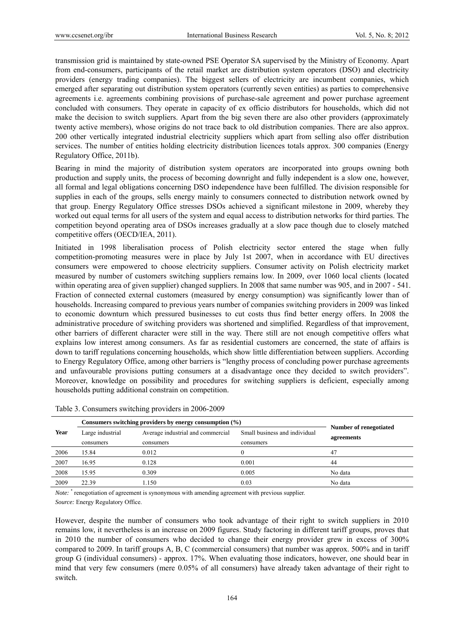transmission grid is maintained by state-owned PSE Operator SA supervised by the Ministry of Economy. Apart from end-consumers, participants of the retail market are distribution system operators (DSO) and electricity providers (energy trading companies). The biggest sellers of electricity are incumbent companies, which emerged after separating out distribution system operators (currently seven entities) as parties to comprehensive agreements i.e. agreements combining provisions of purchase-sale agreement and power purchase agreement concluded with consumers. They operate in capacity of ex officio distributors for households, which did not make the decision to switch suppliers. Apart from the big seven there are also other providers (approximately twenty active members), whose origins do not trace back to old distribution companies. There are also approx. 200 other vertically integrated industrial electricity suppliers which apart from selling also offer distribution services. The number of entities holding electricity distribution licences totals approx. 300 companies (Energy Regulatory Office, 2011b).

Bearing in mind the majority of distribution system operators are incorporated into groups owning both production and supply units, the process of becoming downright and fully independent is a slow one, however, all formal and legal obligations concerning DSO independence have been fulfilled. The division responsible for supplies in each of the groups, sells energy mainly to consumers connected to distribution network owned by that group. Energy Regulatory Office stresses DSOs achieved a significant milestone in 2009, whereby they worked out equal terms for all users of the system and equal access to distribution networks for third parties. The competition beyond operating area of DSOs increases gradually at a slow pace though due to closely matched competitive offers (OECD/IEA, 2011).

Initiated in 1998 liberalisation process of Polish electricity sector entered the stage when fully competition-promoting measures were in place by July 1st 2007, when in accordance with EU directives consumers were empowered to choose electricity suppliers. Consumer activity on Polish electricity market measured by number of customers switching suppliers remains low. In 2009, over 1060 local clients (located within operating area of given supplier) changed suppliers. In 2008 that same number was 905, and in 2007 - 541. Fraction of connected external customers (measured by energy consumption) was significantly lower than of households. Increasing compared to previous years number of companies switching providers in 2009 was linked to economic downturn which pressured businesses to cut costs thus find better energy offers. In 2008 the administrative procedure of switching providers was shortened and simplified. Regardless of that improvement, other barriers of different character were still in the way. There still are not enough competitive offers what explains low interest among consumers. As far as residential customers are concerned, the state of affairs is down to tariff regulations concerning households, which show little differentiation between suppliers. According to Energy Regulatory Office, among other barriers is "lengthy process of concluding power purchase agreements and unfavourable provisions putting consumers at a disadvantage once they decided to switch providers". Moreover, knowledge on possibility and procedures for switching suppliers is deficient, especially among households putting additional constrain on competition.

|      | Consumers switching providers by energy consumption $(\% )$ |                                   |                               |                        |
|------|-------------------------------------------------------------|-----------------------------------|-------------------------------|------------------------|
| Year | Large industrial                                            | Average industrial and commercial | Small business and individual | Number of renegotiated |
|      | consumers                                                   | consumers                         | consumers                     | agreements             |
| 2006 | 15.84                                                       | 0.012                             |                               | 47                     |
| 2007 | 16.95                                                       | 0.128                             | 0.001                         | 44                     |
| 2008 | 15.95                                                       | 0.309                             | 0.005                         | No data                |
| 2009 | 22.39                                                       | 1.150                             | 0.03                          | No data                |

| Table 3. Consumers switching providers in 2006-2009 |  |  |
|-----------------------------------------------------|--|--|
|-----------------------------------------------------|--|--|

Note: \* renegotiation of agreement is synonymous with amending agreement with previous supplier.

*Source:* Energy Regulatory Office.

However, despite the number of consumers who took advantage of their right to switch suppliers in 2010 remains low, it nevertheless is an increase on 2009 figures. Study factoring in different tariff groups, proves that in 2010 the number of consumers who decided to change their energy provider grew in excess of 300% compared to 2009. In tariff groups A, B, C (commercial consumers) that number was approx. 500% and in tariff group G (individual consumers) - approx. 17%. When evaluating those indicators, however, one should bear in mind that very few consumers (mere 0.05% of all consumers) have already taken advantage of their right to switch.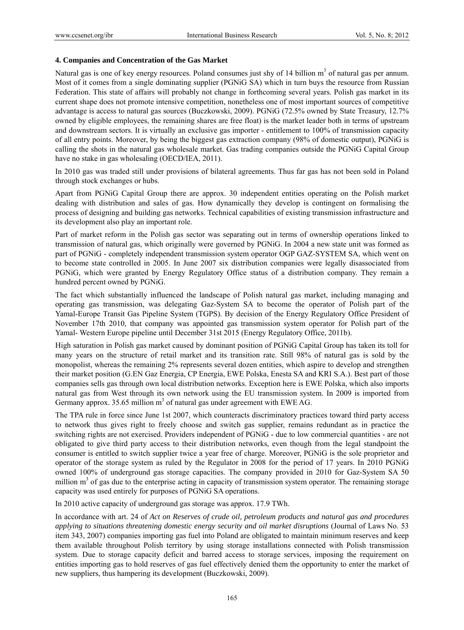#### **4. Companies and Concentration of the Gas Market**

Natural gas is one of key energy resources. Poland consumes just shy of 14 billion  $m<sup>3</sup>$  of natural gas per annum. Most of it comes from a single dominating supplier (PGNiG SA) which in turn buys the resource from Russian Federation. This state of affairs will probably not change in forthcoming several years. Polish gas market in its current shape does not promote intensive competition, nonetheless one of most important sources of competitive advantage is access to natural gas sources (Buczkowski, 2009). PGNiG (72.5% owned by State Treasury, 12.7% owned by eligible employees, the remaining shares are free float) is the market leader both in terms of upstream and downstream sectors. It is virtually an exclusive gas importer - entitlement to 100% of transmission capacity of all entry points. Moreover, by being the biggest gas extraction company (98% of domestic output), PGNiG is calling the shots in the natural gas wholesale market. Gas trading companies outside the PGNiG Capital Group have no stake in gas wholesaling (OECD/IEA, 2011).

In 2010 gas was traded still under provisions of bilateral agreements. Thus far gas has not been sold in Poland through stock exchanges or hubs.

Apart from PGNiG Capital Group there are approx. 30 independent entities operating on the Polish market dealing with distribution and sales of gas. How dynamically they develop is contingent on formalising the process of designing and building gas networks. Technical capabilities of existing transmission infrastructure and its development also play an important role.

Part of market reform in the Polish gas sector was separating out in terms of ownership operations linked to transmission of natural gas, which originally were governed by PGNiG. In 2004 a new state unit was formed as part of PGNiG - completely independent transmission system operator OGP GAZ-SYSTEM SA, which went on to become state controlled in 2005. In June 2007 six distribution companies were legally disassociated from PGNiG, which were granted by Energy Regulatory Office status of a distribution company. They remain a hundred percent owned by PGNiG.

The fact which substantially influenced the landscape of Polish natural gas market, including managing and operating gas transmission, was delegating Gaz-System SA to become the operator of Polish part of the Yamal-Europe Transit Gas Pipeline System (TGPS). By decision of the Energy Regulatory Office President of November 17th 2010, that company was appointed gas transmission system operator for Polish part of the Yamal- Western Europe pipeline until December 31st 2015 (Energy Regulatory Office, 2011b).

High saturation in Polish gas market caused by dominant position of PGNiG Capital Group has taken its toll for many years on the structure of retail market and its transition rate. Still 98% of natural gas is sold by the monopolist, whereas the remaining 2% represents several dozen entities, which aspire to develop and strengthen their market position (G.EN Gaz Energia, CP Energia, EWE Polska, Enesta SA and KRI S.A.). Best part of those companies sells gas through own local distribution networks. Exception here is EWE Polska, which also imports natural gas from West through its own network using the EU transmission system. In 2009 is imported from Germany approx. 35.65 million  $m<sup>3</sup>$  of natural gas under agreement with EWE AG.

The TPA rule in force since June 1st 2007, which counteracts discriminatory practices toward third party access to network thus gives right to freely choose and switch gas supplier, remains redundant as in practice the switching rights are not exercised. Providers independent of PGNiG - due to low commercial quantities - are not obligated to give third party access to their distribution networks, even though from the legal standpoint the consumer is entitled to switch supplier twice a year free of charge. Moreover, PGNiG is the sole proprietor and operator of the storage system as ruled by the Regulator in 2008 for the period of 17 years. In 2010 PGNiG owned 100% of underground gas storage capacities. The company provided in 2010 for Gaz-System SA 50 million  $m<sup>3</sup>$  of gas due to the enterprise acting in capacity of transmission system operator. The remaining storage capacity was used entirely for purposes of PGNiG SA operations.

In 2010 active capacity of underground gas storage was approx. 17.9 TWh.

In accordance with art. 24 of *Act on Reserves of crude oil, petroleum products and natural gas and procedures applying to situations threatening domestic energy security and oil market disruptions* (Journal of Laws No. 53 item 343, 2007) companies importing gas fuel into Poland are obligated to maintain minimum reserves and keep them available throughout Polish territory by using storage installations connected with Polish transmission system. Due to storage capacity deficit and barred access to storage services, imposing the requirement on entities importing gas to hold reserves of gas fuel effectively denied them the opportunity to enter the market of new suppliers, thus hampering its development (Buczkowski, 2009).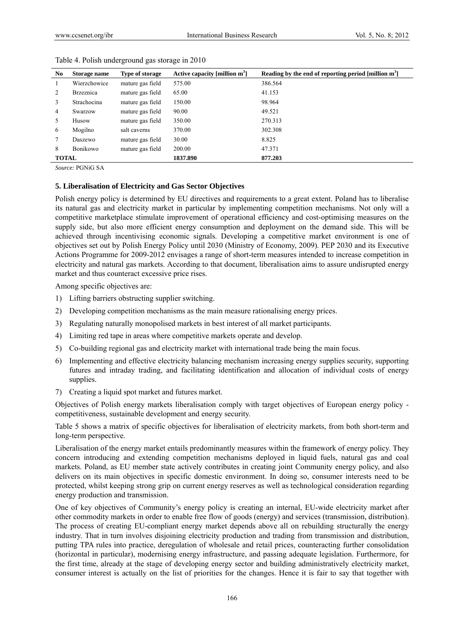| No           | Storage name     | <b>Type of storage</b> | Active capacity [million $m^3$ ] | Reading by the end of reporting period [million $m3$ ] |
|--------------|------------------|------------------------|----------------------------------|--------------------------------------------------------|
|              | Wierzchowice     | mature gas field       | 575.00                           | 386.564                                                |
|              | <b>Brzeznica</b> | mature gas field       | 65.00                            | 41.153                                                 |
|              | Strachocina      | mature gas field       | 150.00                           | 98.964                                                 |
| 4            | Swarzow          | mature gas field       | 90.00                            | 49.521                                                 |
|              | Husow            | mature gas field       | 350.00                           | 270.313                                                |
| 6            | Mogilno          | salt caverns           | 370.00                           | 302.308                                                |
|              | Daszewo          | mature gas field       | 30.00                            | 8.825                                                  |
| 8            | <b>Bonikowo</b>  | mature gas field       | 200.00                           | 47.371                                                 |
| <b>TOTAL</b> |                  |                        | 1837.890                         | 877.203                                                |

Table 4. Polish underground gas storage in 2010

*Source:* PGNiG SA

#### **5. Liberalisation of Electricity and Gas Sector Objectives**

Polish energy policy is determined by EU directives and requirements to a great extent. Poland has to liberalise its natural gas and electricity market in particular by implementing competition mechanisms. Not only will a competitive marketplace stimulate improvement of operational efficiency and cost-optimising measures on the supply side, but also more efficient energy consumption and deployment on the demand side. This will be achieved through incentivising economic signals. Developing a competitive market environment is one of objectives set out by Polish Energy Policy until 2030 (Ministry of Economy, 2009). PEP 2030 and its Executive Actions Programme for 2009-2012 envisages a range of short-term measures intended to increase competition in electricity and natural gas markets. According to that document, liberalisation aims to assure undisrupted energy market and thus counteract excessive price rises.

Among specific objectives are:

- 1) Lifting barriers obstructing supplier switching.
- 2) Developing competition mechanisms as the main measure rationalising energy prices.
- 3) Regulating naturally monopolised markets in best interest of all market participants.
- 4) Limiting red tape in areas where competitive markets operate and develop.
- 5) Co-building regional gas and electricity market with international trade being the main focus.
- 6) Implementing and effective electricity balancing mechanism increasing energy supplies security, supporting futures and intraday trading, and facilitating identification and allocation of individual costs of energy supplies.
- 7) Creating a liquid spot market and futures market.

Objectives of Polish energy markets liberalisation comply with target objectives of European energy policy competitiveness, sustainable development and energy security.

Table 5 shows a matrix of specific objectives for liberalisation of electricity markets, from both short-term and long-term perspective.

Liberalisation of the energy market entails predominantly measures within the framework of energy policy. They concern introducing and extending competition mechanisms deployed in liquid fuels, natural gas and coal markets. Poland, as EU member state actively contributes in creating joint Community energy policy, and also delivers on its main objectives in specific domestic environment. In doing so, consumer interests need to be protected, whilst keeping strong grip on current energy reserves as well as technological consideration regarding energy production and transmission.

One of key objectives of Community's energy policy is creating an internal, EU-wide electricity market after other commodity markets in order to enable free flow of goods (energy) and services (transmission, distribution). The process of creating EU-compliant energy market depends above all on rebuilding structurally the energy industry. That in turn involves disjoining electricity production and trading from transmission and distribution, putting TPA rules into practice, deregulation of wholesale and retail prices, counteracting further consolidation (horizontal in particular), modernising energy infrastructure, and passing adequate legislation. Furthermore, for the first time, already at the stage of developing energy sector and building administratively electricity market, consumer interest is actually on the list of priorities for the changes. Hence it is fair to say that together with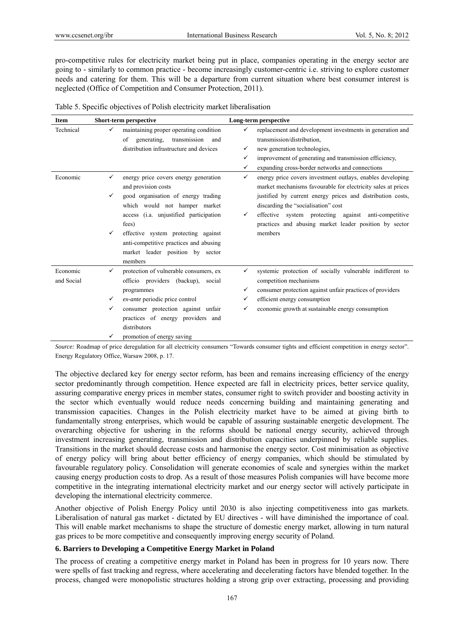pro-competitive rules for electricity market being put in place, companies operating in the energy sector are going to - similarly to common practice - become increasingly customer-centric i.e. striving to explore customer needs and catering for them. This will be a departure from current situation where best consumer interest is neglected (Office of Competition and Consumer Protection, 2011).

|  |  |  | Table 5. Specific objectives of Polish electricity market liberalisation |
|--|--|--|--------------------------------------------------------------------------|
|  |  |  |                                                                          |

| <b>Item</b>            | Short-term perspective              |                                                                                                                   | Long-term perspective |                                                                                                                                                                                          |
|------------------------|-------------------------------------|-------------------------------------------------------------------------------------------------------------------|-----------------------|------------------------------------------------------------------------------------------------------------------------------------------------------------------------------------------|
| Technical              | ✓<br>generating.<br>of              | maintaining proper operating condition<br>transmission<br>and<br>distribution infrastructure and devices          | ✓<br>✓                | replacement and development investments in generation and<br>transmission/distribution.                                                                                                  |
|                        |                                     |                                                                                                                   | ✓<br>✓                | new generation technologies,<br>improvement of generating and transmission efficiency,<br>expanding cross-border networks and connections                                                |
| Economic               | ✓<br>and provision costs<br>✓       | energy price covers energy generation<br>good organisation of energy trading                                      | ✓                     | energy price covers investment outlays, enables developing<br>market mechanisms favourable for electricity sales at prices<br>justified by current energy prices and distribution costs, |
|                        | fees)                               | which would not hamper market<br>access (i.a. unjustified participation                                           | ✓                     | discarding the "socialisation" cost<br>effective system protecting against anti-competitive<br>practices and abusing market leader position by sector                                    |
|                        | ✓<br>members                        | effective system protecting against<br>anti-competitive practices and abusing<br>market leader position by sector |                       | members                                                                                                                                                                                  |
| Economic<br>and Social | ✓<br>programmes                     | protection of vulnerable consumers, ex<br>officio providers (backup),<br>social                                   | ✓<br>✓                | systemic protection of socially vulnerable indifferent to<br>competition mechanisms<br>consumer protection against unfair practices of providers                                         |
|                        | ex-ante periodic price control<br>✓ |                                                                                                                   | ✓                     | efficient energy consumption                                                                                                                                                             |
|                        | ✓<br>distributors                   | consumer protection against unfair<br>practices of energy providers and                                           | ✓                     | economic growth at sustainable energy consumption                                                                                                                                        |
|                        | promotion of energy saving<br>✓     |                                                                                                                   |                       |                                                                                                                                                                                          |

*Source:* Roadmap of price deregulation for all electricity consumers "Towards consumer tights and efficient competition in energy sector". Energy Regulatory Office, Warsaw 2008, p. 17.

The objective declared key for energy sector reform, has been and remains increasing efficiency of the energy sector predominantly through competition. Hence expected are fall in electricity prices, better service quality, assuring comparative energy prices in member states, consumer right to switch provider and boosting activity in the sector which eventually would reduce needs concerning building and maintaining generating and transmission capacities. Changes in the Polish electricity market have to be aimed at giving birth to fundamentally strong enterprises, which would be capable of assuring sustainable energetic development. The overarching objective for ushering in the reforms should be national energy security, achieved through investment increasing generating, transmission and distribution capacities underpinned by reliable supplies. Transitions in the market should decrease costs and harmonise the energy sector. Cost minimisation as objective of energy policy will bring about better efficiency of energy companies, which should be stimulated by favourable regulatory policy. Consolidation will generate economies of scale and synergies within the market causing energy production costs to drop. As a result of those measures Polish companies will have become more competitive in the integrating international electricity market and our energy sector will actively participate in developing the international electricity commerce.

Another objective of Polish Energy Policy until 2030 is also injecting competitiveness into gas markets. Liberalisation of natural gas market - dictated by EU directives - will have diminished the importance of coal. This will enable market mechanisms to shape the structure of domestic energy market, allowing in turn natural gas prices to be more competitive and consequently improving energy security of Poland.

#### **6. Barriers to Developing a Competitive Energy Market in Poland**

The process of creating a competitive energy market in Poland has been in progress for 10 years now. There were spells of fast tracking and regress, where accelerating and decelerating factors have blended together. In the process, changed were monopolistic structures holding a strong grip over extracting, processing and providing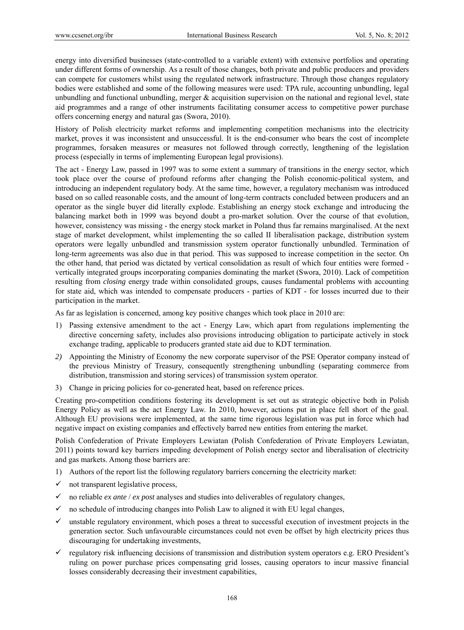energy into diversified businesses (state-controlled to a variable extent) with extensive portfolios and operating under different forms of ownership. As a result of those changes, both private and public producers and providers can compete for customers whilst using the regulated network infrastructure. Through those changes regulatory bodies were established and some of the following measures were used: TPA rule, accounting unbundling, legal unbundling and functional unbundling, merger & acquisition supervision on the national and regional level, state aid programmes and a range of other instruments facilitating consumer access to competitive power purchase offers concerning energy and natural gas (Swora, 2010).

History of Polish electricity market reforms and implementing competition mechanisms into the electricity market, proves it was inconsistent and unsuccessful. It is the end-consumer who bears the cost of incomplete programmes, forsaken measures or measures not followed through correctly, lengthening of the legislation process (especially in terms of implementing European legal provisions).

The act - Energy Law, passed in 1997 was to some extent a summary of transitions in the energy sector, which took place over the course of profound reforms after changing the Polish economic-political system, and introducing an independent regulatory body. At the same time, however, a regulatory mechanism was introduced based on so called reasonable costs, and the amount of long-term contracts concluded between producers and an operator as the single buyer did literally explode. Establishing an energy stock exchange and introducing the balancing market both in 1999 was beyond doubt a pro-market solution. Over the course of that evolution, however, consistency was missing - the energy stock market in Poland thus far remains marginalised. At the next stage of market development, whilst implementing the so called II liberalisation package, distribution system operators were legally unbundled and transmission system operator functionally unbundled. Termination of long-term agreements was also due in that period. This was supposed to increase competition in the sector. On the other hand, that period was dictated by vertical consolidation as result of which four entities were formed vertically integrated groups incorporating companies dominating the market (Swora, 2010). Lack of competition resulting from *closing* energy trade within consolidated groups, causes fundamental problems with accounting for state aid, which was intended to compensate producers - parties of KDT - for losses incurred due to their participation in the market.

As far as legislation is concerned, among key positive changes which took place in 2010 are:

- 1) Passing extensive amendment to the act Energy Law, which apart from regulations implementing the directive concerning safety, includes also provisions introducing obligation to participate actively in stock exchange trading, applicable to producers granted state aid due to KDT termination.
- *2)* Appointing the Ministry of Economy the new corporate supervisor of the PSE Operator company instead of the previous Ministry of Treasury, consequently strengthening unbundling (separating commerce from distribution, transmission and storing services) of transmission system operator.
- 3) Change in pricing policies for co-generated heat, based on reference prices.

Creating pro-competition conditions fostering its development is set out as strategic objective both in Polish Energy Policy as well as the act Energy Law. In 2010, however, actions put in place fell short of the goal. Although EU provisions were implemented, at the same time rigorous legislation was put in force which had negative impact on existing companies and effectively barred new entities from entering the market.

Polish Confederation of Private Employers Lewiatan (Polish Confederation of Private Employers Lewiatan, 2011) points toward key barriers impeding development of Polish energy sector and liberalisation of electricity and gas markets. Among those barriers are:

- 1) Authors of the report list the following regulatory barriers concerning the electricity market:
- $\checkmark$  not transparent legislative process,
- $\checkmark$  no reliable *ex ante / ex post* analyses and studies into deliverables of regulatory changes,
- $\checkmark$  no schedule of introducing changes into Polish Law to aligned it with EU legal changes,
- $\checkmark$  unstable regulatory environment, which poses a threat to successful execution of investment projects in the generation sector. Such unfavourable circumstances could not even be offset by high electricity prices thus discouraging for undertaking investments,
- $\checkmark$  regulatory risk influencing decisions of transmission and distribution system operators e.g. ERO President's ruling on power purchase prices compensating grid losses, causing operators to incur massive financial losses considerably decreasing their investment capabilities,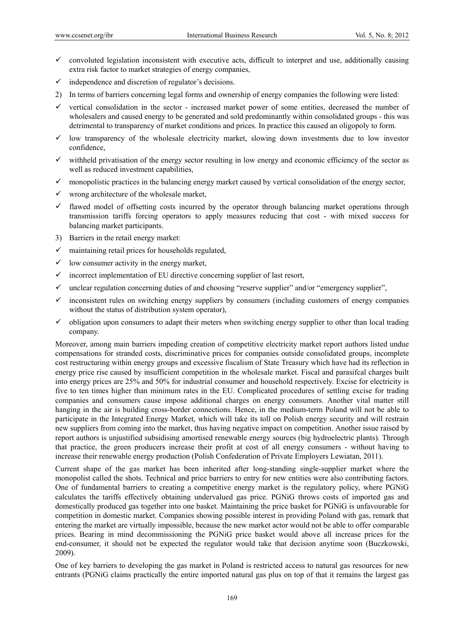- $\checkmark$  convoluted legislation inconsistent with executive acts, difficult to interpret and use, additionally causing extra risk factor to market strategies of energy companies,
- $\checkmark$  independence and discretion of regulator's decisions.
- 2) In terms of barriers concerning legal forms and ownership of energy companies the following were listed:
- $\checkmark$  vertical consolidation in the sector increased market power of some entities, decreased the number of wholesalers and caused energy to be generated and sold predominantly within consolidated groups - this was detrimental to transparency of market conditions and prices. In practice this caused an oligopoly to form.
- $\checkmark$  low transparency of the wholesale electricity market, slowing down investments due to low investor confidence,
- $\checkmark$  withheld privatisation of the energy sector resulting in low energy and economic efficiency of the sector as well as reduced investment capabilities,
- $\checkmark$  monopolistic practices in the balancing energy market caused by vertical consolidation of the energy sector,
- $\checkmark$  wrong architecture of the wholesale market,
- $\checkmark$  flawed model of offsetting costs incurred by the operator through balancing market operations through transmission tariffs forcing operators to apply measures reducing that cost - with mixed success for balancing market participants.
- 3) Barriers in the retail energy market:
- $\checkmark$  maintaining retail prices for households regulated,
- $\checkmark$  low consumer activity in the energy market,
- $\checkmark$  incorrect implementation of EU directive concerning supplier of last resort,
- $\checkmark$  unclear regulation concerning duties of and choosing "reserve supplier" and/or "emergency supplier",
- $\checkmark$  inconsistent rules on switching energy suppliers by consumers (including customers of energy companies without the status of distribution system operator),
- $\checkmark$  obligation upon consumers to adapt their meters when switching energy supplier to other than local trading company.

Moreover, among main barriers impeding creation of competitive electricity market report authors listed undue compensations for stranded costs, discriminative prices for companies outside consolidated groups, incomplete cost restructuring within energy groups and excessive fiscalism of State Treasury which have had its reflection in energy price rise caused by insufficient competition in the wholesale market. Fiscal and parasifcal charges built into energy prices are 25% and 50% for industrial consumer and household respectively. Excise for electricity is five to ten times higher than minimum rates in the EU. Complicated procedures of settling excise for trading companies and consumers cause impose additional charges on energy consumers. Another vital matter still hanging in the air is building cross-border connections. Hence, in the medium-term Poland will not be able to participate in the Integrated Energy Market, which will take its toll on Polish energy security and will restrain new suppliers from coming into the market, thus having negative impact on competition. Another issue raised by report authors is unjustified subsidising amortised renewable energy sources (big hydroelectric plants). Through that practice, the green producers increase their profit at cost of all energy consumers - without having to increase their renewable energy production (Polish Confederation of Private Employers Lewiatan, 2011).

Current shape of the gas market has been inherited after long-standing single-supplier market where the monopolist called the shots. Technical and price barriers to entry for new entities were also contributing factors. One of fundamental barriers to creating a competitive energy market is the regulatory policy, where PGNiG calculates the tariffs effectively obtaining undervalued gas price. PGNiG throws costs of imported gas and domestically produced gas together into one basket. Maintaining the price basket for PGNiG is unfavourable for competition in domestic market. Companies showing possible interest in providing Poland with gas, remark that entering the market are virtually impossible, because the new market actor would not be able to offer comparable prices. Bearing in mind decommissioning the PGNiG price basket would above all increase prices for the end-consumer, it should not be expected the regulator would take that decision anytime soon (Buczkowski, 2009).

One of key barriers to developing the gas market in Poland is restricted access to natural gas resources for new entrants (PGNiG claims practically the entire imported natural gas plus on top of that it remains the largest gas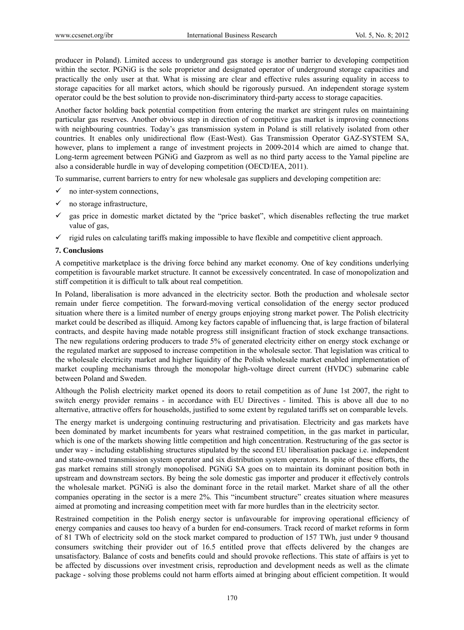producer in Poland). Limited access to underground gas storage is another barrier to developing competition within the sector. PGNiG is the sole proprietor and designated operator of underground storage capacities and practically the only user at that. What is missing are clear and effective rules assuring equality in access to storage capacities for all market actors, which should be rigorously pursued. An independent storage system operator could be the best solution to provide non-discriminatory third-party access to storage capacities.

Another factor holding back potential competition from entering the market are stringent rules on maintaining particular gas reserves. Another obvious step in direction of competitive gas market is improving connections with neighbouring countries. Today's gas transmission system in Poland is still relatively isolated from other countries. It enables only unidirectional flow (East-West). Gas Transmission Operator GAZ-SYSTEM SA, however, plans to implement a range of investment projects in 2009-2014 which are aimed to change that. Long-term agreement between PGNiG and Gazprom as well as no third party access to the Yamal pipeline are also a considerable hurdle in way of developing competition (OECD/IEA, 2011).

To summarise, current barriers to entry for new wholesale gas suppliers and developing competition are:

- $\checkmark$  no inter-system connections,
- no storage infrastructure,
- $\checkmark$  gas price in domestic market dictated by the "price basket", which disenables reflecting the true market value of gas,
- $\checkmark$  rigid rules on calculating tariffs making impossible to have flexible and competitive client approach.

#### **7. Conclusions**

A competitive marketplace is the driving force behind any market economy. One of key conditions underlying competition is favourable market structure. It cannot be excessively concentrated. In case of monopolization and stiff competition it is difficult to talk about real competition.

In Poland, liberalisation is more advanced in the electricity sector. Both the production and wholesale sector remain under fierce competition. The forward-moving vertical consolidation of the energy sector produced situation where there is a limited number of energy groups enjoying strong market power. The Polish electricity market could be described as illiquid. Among key factors capable of influencing that, is large fraction of bilateral contracts, and despite having made notable progress still insignificant fraction of stock exchange transactions. The new regulations ordering producers to trade 5% of generated electricity either on energy stock exchange or the regulated market are supposed to increase competition in the wholesale sector. That legislation was critical to the wholesale electricity market and higher liquidity of the Polish wholesale market enabled implementation of market coupling mechanisms through the monopolar high-voltage direct current (HVDC) submarine cable between Poland and Sweden.

Although the Polish electricity market opened its doors to retail competition as of June 1st 2007, the right to switch energy provider remains - in accordance with EU Directives - limited. This is above all due to no alternative, attractive offers for households, justified to some extent by regulated tariffs set on comparable levels.

The energy market is undergoing continuing restructuring and privatisation. Electricity and gas markets have been dominated by market incumbents for years what restrained competition, in the gas market in particular, which is one of the markets showing little competition and high concentration. Restructuring of the gas sector is under way - including establishing structures stipulated by the second EU liberalisation package i.e. independent and state-owned transmission system operator and six distribution system operators. In spite of these efforts, the gas market remains still strongly monopolised. PGNiG SA goes on to maintain its dominant position both in upstream and downstream sectors. By being the sole domestic gas importer and producer it effectively controls the wholesale market. PGNiG is also the dominant force in the retail market. Market share of all the other companies operating in the sector is a mere 2%. This "incumbent structure" creates situation where measures aimed at promoting and increasing competition meet with far more hurdles than in the electricity sector.

Restrained competition in the Polish energy sector is unfavourable for improving operational efficiency of energy companies and causes too heavy of a burden for end-consumers. Track record of market reforms in form of 81 TWh of electricity sold on the stock market compared to production of 157 TWh, just under 9 thousand consumers switching their provider out of 16.5 entitled prove that effects delivered by the changes are unsatisfactory. Balance of costs and benefits could and should provoke reflections. This state of affairs is yet to be affected by discussions over investment crisis, reproduction and development needs as well as the climate package - solving those problems could not harm efforts aimed at bringing about efficient competition. It would